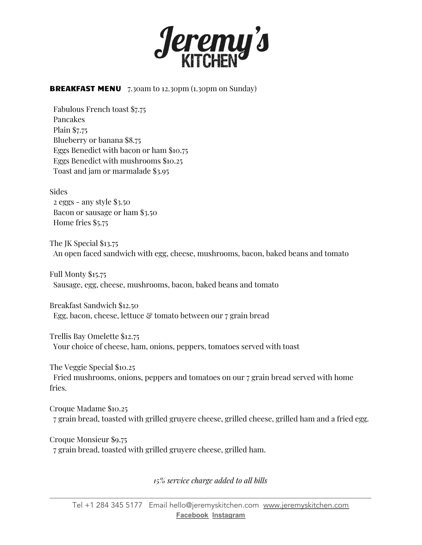

**BREAKFAST MENU** 7.30am to 12.30pm (1.30pm on Sunday)

Fabulous French toast \$7.75 Pancakes Plain \$7.75 Blueberry or banana \$8.75 Eggs Benedict with bacon or ham \$10.75 Eggs Benedict with mushrooms \$10.25 Toast and jam or marmalade \$3.95

Sides

2 eggs - any style \$3.50 Bacon or sausage or ham \$3.50 Home fries \$5.75

The JK Special \$13.75 An open faced sandwich with egg, cheese, mushrooms, bacon, baked beans and tomato

Full Monty \$15.75 Sausage, egg, cheese, mushrooms, bacon, baked beans and tomato

Breakfast Sandwich \$12.50 Egg, bacon, cheese, lettuce & tomato between our 7 grain bread

Trellis Bay Omelette \$12.75 Your choice of cheese, ham, onions, peppers, tomatoes served with toast

The Veggie Special \$10.25 Fried mushrooms, onions, peppers and tomatoes on our 7 grain bread served with home fries.

Croque Madame \$10.25 7 grain bread, toasted with grilled gruyere cheese, grilled cheese, grilled ham and a fried egg.

Croque Monsieur \$9.75 7 grain bread, toasted with grilled gruyere cheese, grilled ham.

*15% service charge added to all bills*

\_\_\_\_\_\_\_\_\_\_\_\_\_\_\_\_\_\_\_\_\_\_\_\_\_\_\_\_\_\_\_\_\_\_\_\_\_\_\_\_\_\_\_\_\_\_\_\_\_\_\_\_\_\_\_\_\_\_\_\_\_\_\_\_\_\_\_\_\_\_\_\_\_\_\_\_\_\_\_\_\_\_\_\_\_